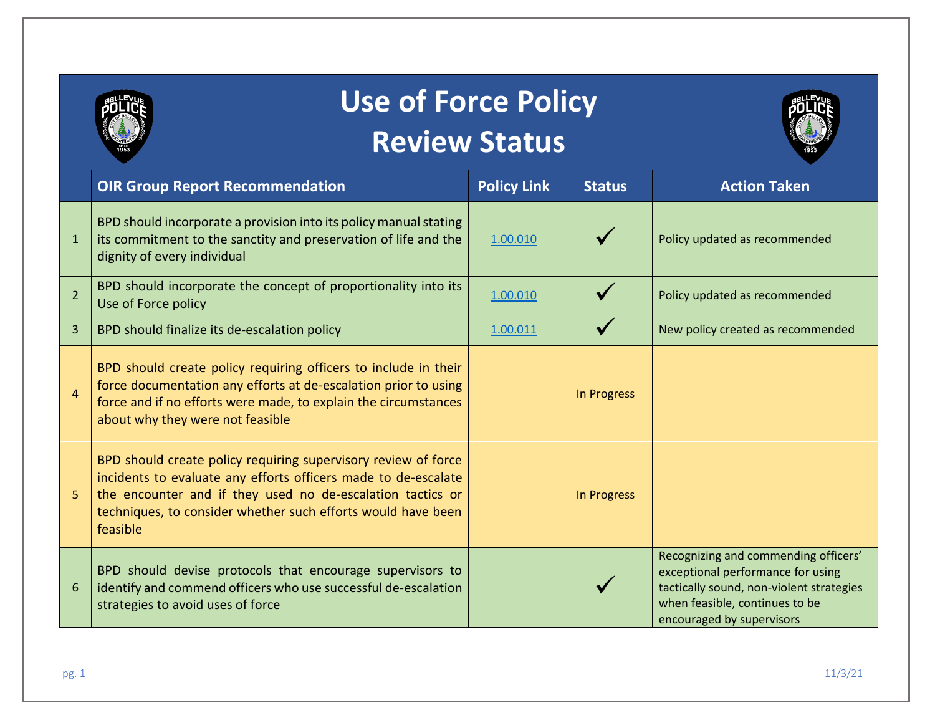

## **Use of Force Policy Review Status**



|                | <b>OIR Group Report Recommendation</b>                                                                                                                                                                                                                                     | <b>Policy Link</b> | <b>Status</b>      | <b>Action Taken</b>                                                                                                                                                                  |
|----------------|----------------------------------------------------------------------------------------------------------------------------------------------------------------------------------------------------------------------------------------------------------------------------|--------------------|--------------------|--------------------------------------------------------------------------------------------------------------------------------------------------------------------------------------|
| 1              | BPD should incorporate a provision into its policy manual stating<br>its commitment to the sanctity and preservation of life and the<br>dignity of every individual                                                                                                        | 1.00.010           |                    | Policy updated as recommended                                                                                                                                                        |
| $\overline{2}$ | BPD should incorporate the concept of proportionality into its<br>Use of Force policy                                                                                                                                                                                      | 1.00.010           |                    | Policy updated as recommended                                                                                                                                                        |
| 3              | BPD should finalize its de-escalation policy                                                                                                                                                                                                                               | 1.00.011           |                    | New policy created as recommended                                                                                                                                                    |
| $\overline{A}$ | BPD should create policy requiring officers to include in their<br>force documentation any efforts at de-escalation prior to using<br>force and if no efforts were made, to explain the circumstances<br>about why they were not feasible                                  |                    | <b>In Progress</b> |                                                                                                                                                                                      |
| 5              | BPD should create policy requiring supervisory review of force<br>incidents to evaluate any efforts officers made to de-escalate<br>the encounter and if they used no de-escalation tactics or<br>techniques, to consider whether such efforts would have been<br>feasible |                    | <b>In Progress</b> |                                                                                                                                                                                      |
|                | BPD should devise protocols that encourage supervisors to<br>identify and commend officers who use successful de-escalation<br>strategies to avoid uses of force                                                                                                           |                    |                    | Recognizing and commending officers'<br>exceptional performance for using<br>tactically sound, non-violent strategies<br>when feasible, continues to be<br>encouraged by supervisors |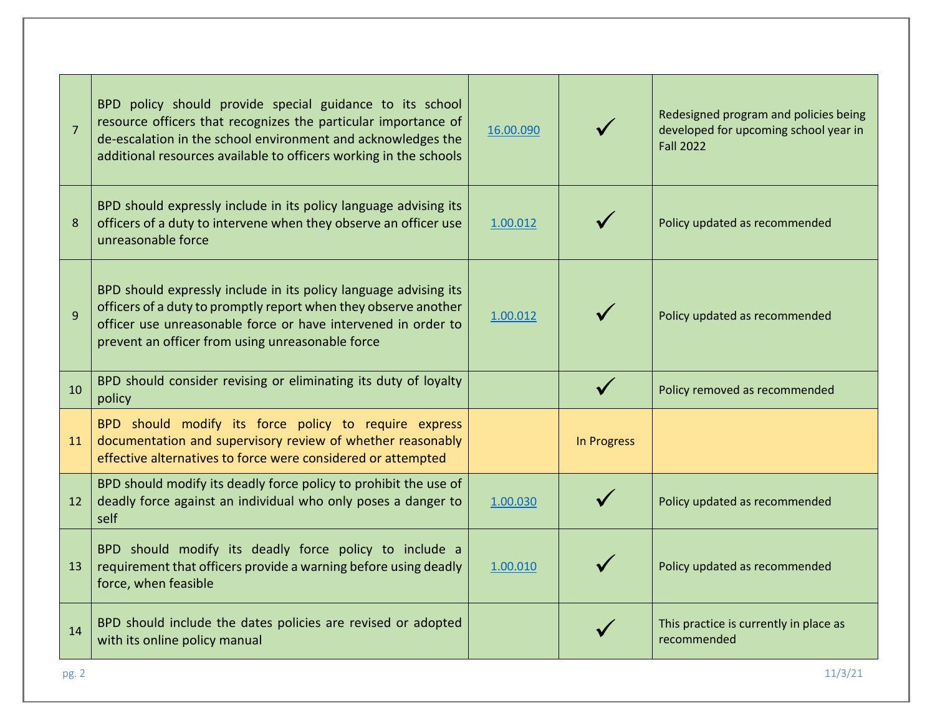| $\overline{7}$ | BPD policy should provide special guidance to its school<br>resource officers that recognizes the particular importance of<br>de-escalation in the school environment and acknowledges the<br>additional resources available to officers working in the schools | 16.00.090 |             | Redesigned program and policies being<br>developed for upcoming school year in<br><b>Fall 2022</b> |
|----------------|-----------------------------------------------------------------------------------------------------------------------------------------------------------------------------------------------------------------------------------------------------------------|-----------|-------------|----------------------------------------------------------------------------------------------------|
| 8              | BPD should expressly include in its policy language advising its<br>officers of a duty to intervene when they observe an officer use<br>unreasonable force                                                                                                      | 1.00.012  |             | Policy updated as recommended                                                                      |
| $\overline{9}$ | BPD should expressly include in its policy language advising its<br>officers of a duty to promptly report when they observe another<br>officer use unreasonable force or have intervened in order to<br>prevent an officer from using unreasonable force        | 1.00.012  |             | Policy updated as recommended                                                                      |
| 10             | BPD should consider revising or eliminating its duty of loyalty<br>policy                                                                                                                                                                                       |           |             | Policy removed as recommended                                                                      |
| 11             | BPD should modify its force policy to require express<br>documentation and supervisory review of whether reasonably<br>effective alternatives to force were considered or attempted                                                                             |           | In Progress |                                                                                                    |
| 12             | BPD should modify its deadly force policy to prohibit the use of<br>deadly force against an individual who only poses a danger to<br>self                                                                                                                       | 1.00.030  |             | Policy updated as recommended                                                                      |
| 13             | BPD should modify its deadly force policy to include a<br>requirement that officers provide a warning before using deadly<br>force, when feasible                                                                                                               | 1.00.010  |             | Policy updated as recommended                                                                      |
| 14             | BPD should include the dates policies are revised or adopted<br>with its online policy manual                                                                                                                                                                   |           |             | This practice is currently in place as<br>recommended                                              |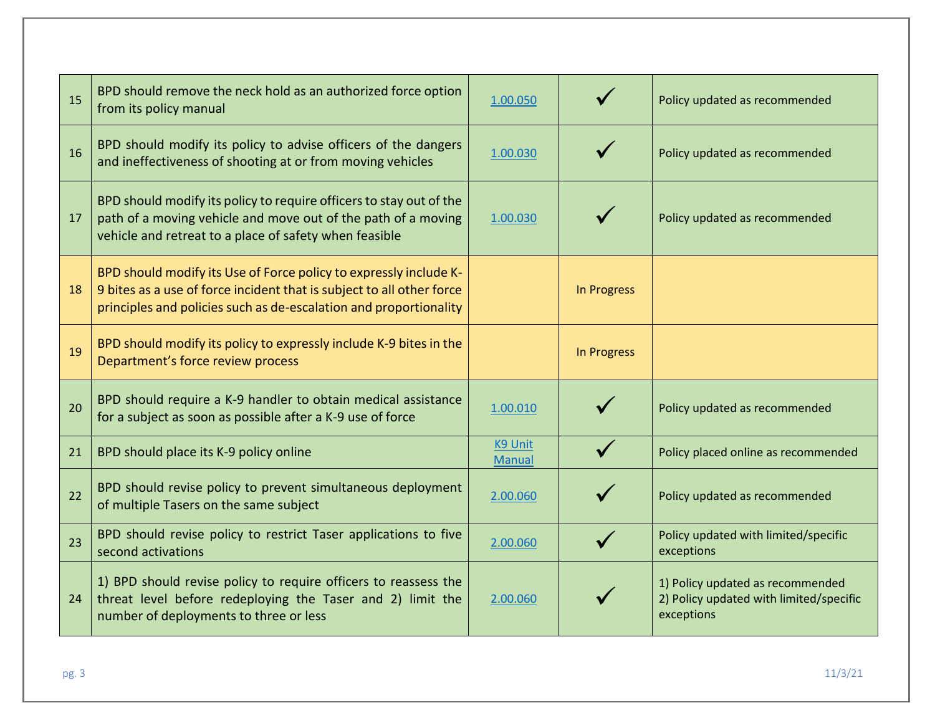| 15 | BPD should remove the neck hold as an authorized force option<br>from its policy manual                                                                                                                         | 1.00.050                        |                    | Policy updated as recommended                                                             |
|----|-----------------------------------------------------------------------------------------------------------------------------------------------------------------------------------------------------------------|---------------------------------|--------------------|-------------------------------------------------------------------------------------------|
| 16 | BPD should modify its policy to advise officers of the dangers<br>and ineffectiveness of shooting at or from moving vehicles                                                                                    | 1.00.030                        |                    | Policy updated as recommended                                                             |
| 17 | BPD should modify its policy to require officers to stay out of the<br>path of a moving vehicle and move out of the path of a moving<br>vehicle and retreat to a place of safety when feasible                  | 1.00.030                        |                    | Policy updated as recommended                                                             |
| 18 | BPD should modify its Use of Force policy to expressly include K-<br>9 bites as a use of force incident that is subject to all other force<br>principles and policies such as de-escalation and proportionality |                                 | In Progress        |                                                                                           |
| 19 | BPD should modify its policy to expressly include K-9 bites in the<br>Department's force review process                                                                                                         |                                 | <b>In Progress</b> |                                                                                           |
| 20 | BPD should require a K-9 handler to obtain medical assistance<br>for a subject as soon as possible after a K-9 use of force                                                                                     | 1.00.010                        |                    | Policy updated as recommended                                                             |
| 21 | BPD should place its K-9 policy online                                                                                                                                                                          | <b>K9 Unit</b><br><b>Manual</b> |                    | Policy placed online as recommended                                                       |
| 22 | BPD should revise policy to prevent simultaneous deployment<br>of multiple Tasers on the same subject                                                                                                           | 2.00.060                        |                    | Policy updated as recommended                                                             |
| 23 | BPD should revise policy to restrict Taser applications to five<br>second activations                                                                                                                           | 2.00.060                        |                    | Policy updated with limited/specific<br>exceptions                                        |
| 24 | 1) BPD should revise policy to require officers to reassess the<br>threat level before redeploying the Taser and 2) limit the<br>number of deployments to three or less                                         | 2.00.060                        |                    | 1) Policy updated as recommended<br>2) Policy updated with limited/specific<br>exceptions |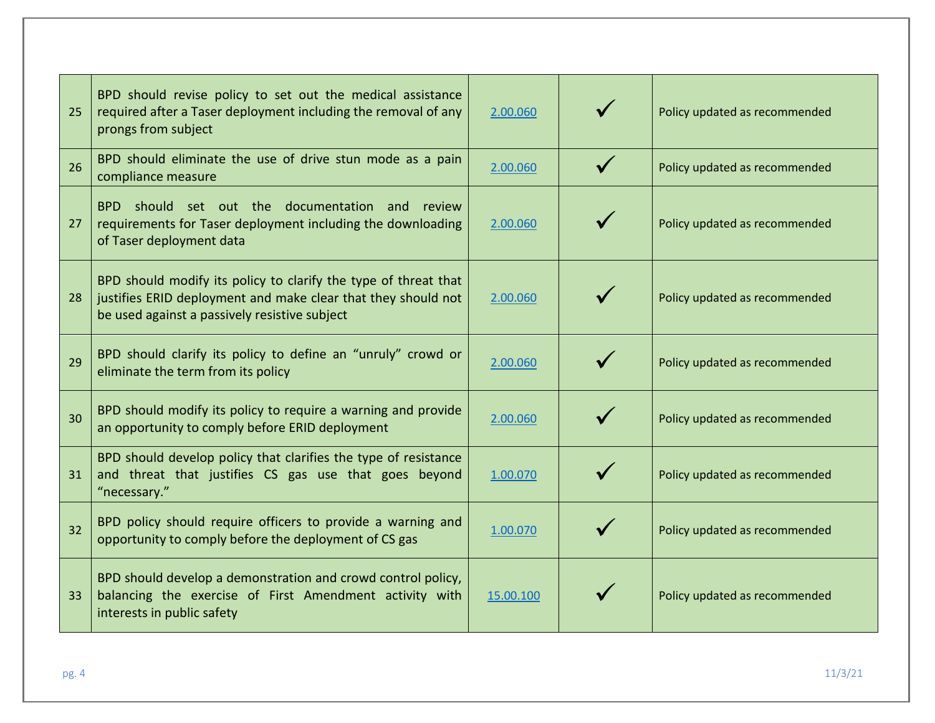| 25 | BPD should revise policy to set out the medical assistance<br>required after a Taser deployment including the removal of any<br>prongs from subject                               | 2.00.060  | Policy updated as recommended |
|----|-----------------------------------------------------------------------------------------------------------------------------------------------------------------------------------|-----------|-------------------------------|
| 26 | BPD should eliminate the use of drive stun mode as a pain<br>compliance measure                                                                                                   | 2.00.060  | Policy updated as recommended |
| 27 | BPD should set out the documentation<br>and<br>review<br>requirements for Taser deployment including the downloading<br>of Taser deployment data                                  | 2.00.060  | Policy updated as recommended |
| 28 | BPD should modify its policy to clarify the type of threat that<br>justifies ERID deployment and make clear that they should not<br>be used against a passively resistive subject | 2.00.060  | Policy updated as recommended |
| 29 | BPD should clarify its policy to define an "unruly" crowd or<br>eliminate the term from its policy                                                                                | 2.00.060  | Policy updated as recommended |
| 30 | BPD should modify its policy to require a warning and provide<br>an opportunity to comply before ERID deployment                                                                  | 2.00.060  | Policy updated as recommended |
| 31 | BPD should develop policy that clarifies the type of resistance<br>and threat that justifies CS gas use that goes beyond<br>"necessary."                                          | 1.00.070  | Policy updated as recommended |
| 32 | BPD policy should require officers to provide a warning and<br>opportunity to comply before the deployment of CS gas                                                              | 1.00.070  | Policy updated as recommended |
| 33 | BPD should develop a demonstration and crowd control policy,<br>balancing the exercise of First Amendment activity with<br>interests in public safety                             | 15.00.100 | Policy updated as recommended |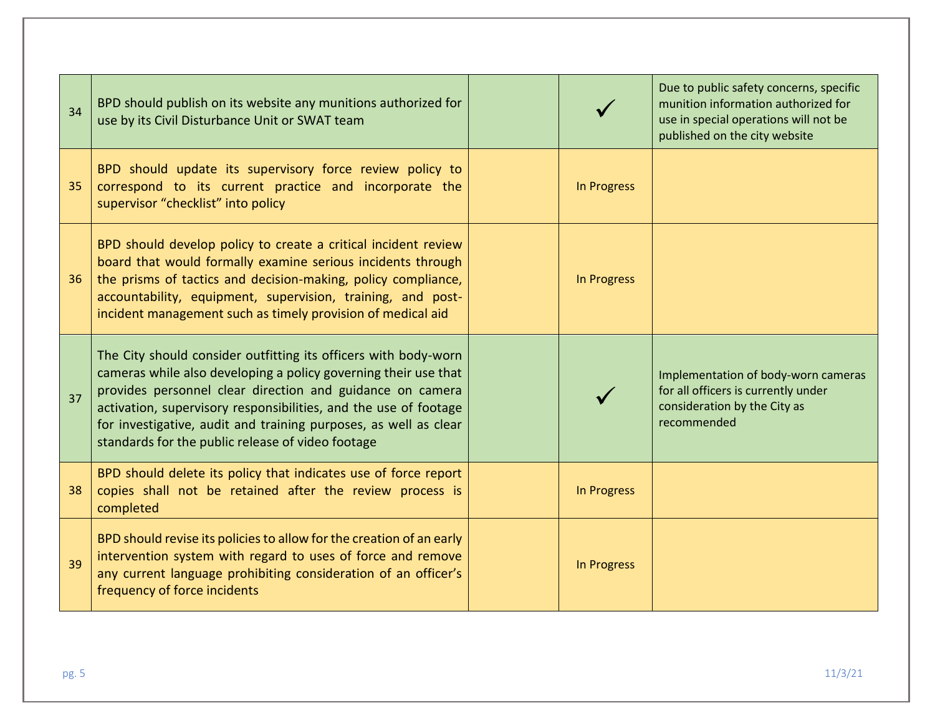| 34 | BPD should publish on its website any munitions authorized for<br>use by its Civil Disturbance Unit or SWAT team                                                                                                                                                                                                                                                                             |             | Due to public safety concerns, specific<br>munition information authorized for<br>use in special operations will not be<br>published on the city website |
|----|----------------------------------------------------------------------------------------------------------------------------------------------------------------------------------------------------------------------------------------------------------------------------------------------------------------------------------------------------------------------------------------------|-------------|----------------------------------------------------------------------------------------------------------------------------------------------------------|
| 35 | BPD should update its supervisory force review policy to<br>correspond to its current practice and incorporate the<br>supervisor "checklist" into policy                                                                                                                                                                                                                                     | In Progress |                                                                                                                                                          |
| 36 | BPD should develop policy to create a critical incident review<br>board that would formally examine serious incidents through<br>the prisms of tactics and decision-making, policy compliance,<br>accountability, equipment, supervision, training, and post-<br>incident management such as timely provision of medical aid                                                                 | In Progress |                                                                                                                                                          |
| 37 | The City should consider outfitting its officers with body-worn<br>cameras while also developing a policy governing their use that<br>provides personnel clear direction and guidance on camera<br>activation, supervisory responsibilities, and the use of footage<br>for investigative, audit and training purposes, as well as clear<br>standards for the public release of video footage |             | Implementation of body-worn cameras<br>for all officers is currently under<br>consideration by the City as<br>recommended                                |
| 38 | BPD should delete its policy that indicates use of force report<br>copies shall not be retained after the review process is<br>completed                                                                                                                                                                                                                                                     | In Progress |                                                                                                                                                          |
| 39 | BPD should revise its policies to allow for the creation of an early<br>intervention system with regard to uses of force and remove<br>any current language prohibiting consideration of an officer's<br>frequency of force incidents                                                                                                                                                        | In Progress |                                                                                                                                                          |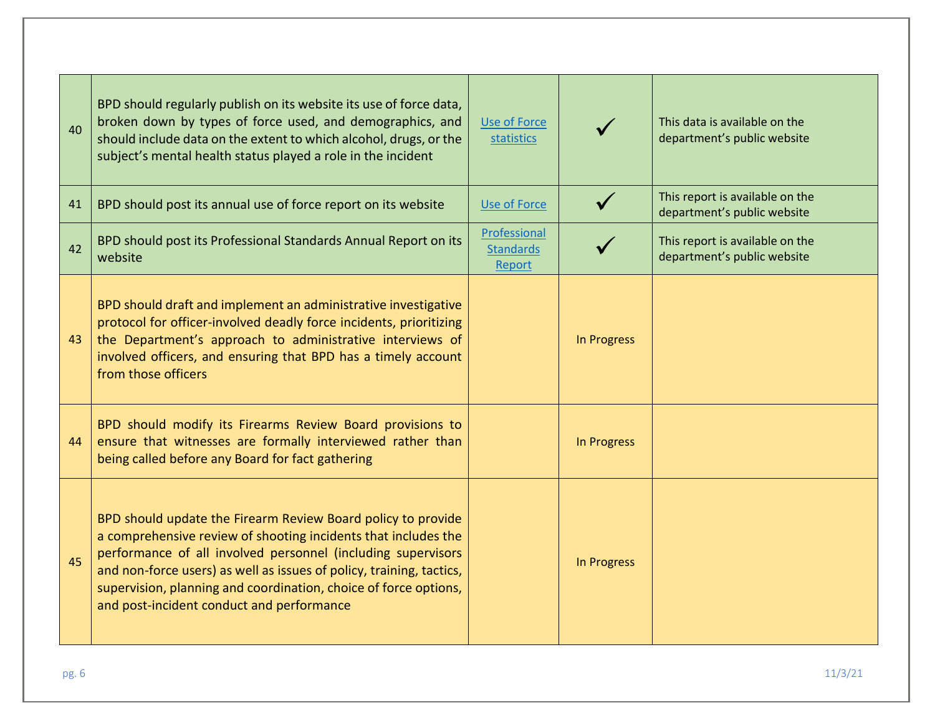| 40 | BPD should regularly publish on its website its use of force data,<br>broken down by types of force used, and demographics, and<br>should include data on the extent to which alcohol, drugs, or the<br>subject's mental health status played a role in the incident                                                                                                                    | <b>Use of Force</b><br>statistics          |                    | This data is available on the<br>department's public website   |
|----|-----------------------------------------------------------------------------------------------------------------------------------------------------------------------------------------------------------------------------------------------------------------------------------------------------------------------------------------------------------------------------------------|--------------------------------------------|--------------------|----------------------------------------------------------------|
| 41 | BPD should post its annual use of force report on its website                                                                                                                                                                                                                                                                                                                           | <b>Use of Force</b>                        |                    | This report is available on the<br>department's public website |
| 42 | BPD should post its Professional Standards Annual Report on its<br>website                                                                                                                                                                                                                                                                                                              | Professional<br><b>Standards</b><br>Report |                    | This report is available on the<br>department's public website |
| 43 | BPD should draft and implement an administrative investigative<br>protocol for officer-involved deadly force incidents, prioritizing<br>the Department's approach to administrative interviews of<br>involved officers, and ensuring that BPD has a timely account<br>from those officers                                                                                               |                                            | In Progress        |                                                                |
| 44 | BPD should modify its Firearms Review Board provisions to<br>ensure that witnesses are formally interviewed rather than<br>being called before any Board for fact gathering                                                                                                                                                                                                             |                                            | In Progress        |                                                                |
| 45 | BPD should update the Firearm Review Board policy to provide<br>a comprehensive review of shooting incidents that includes the<br>performance of all involved personnel (including supervisors<br>and non-force users) as well as issues of policy, training, tactics,<br>supervision, planning and coordination, choice of force options,<br>and post-incident conduct and performance |                                            | <b>In Progress</b> |                                                                |